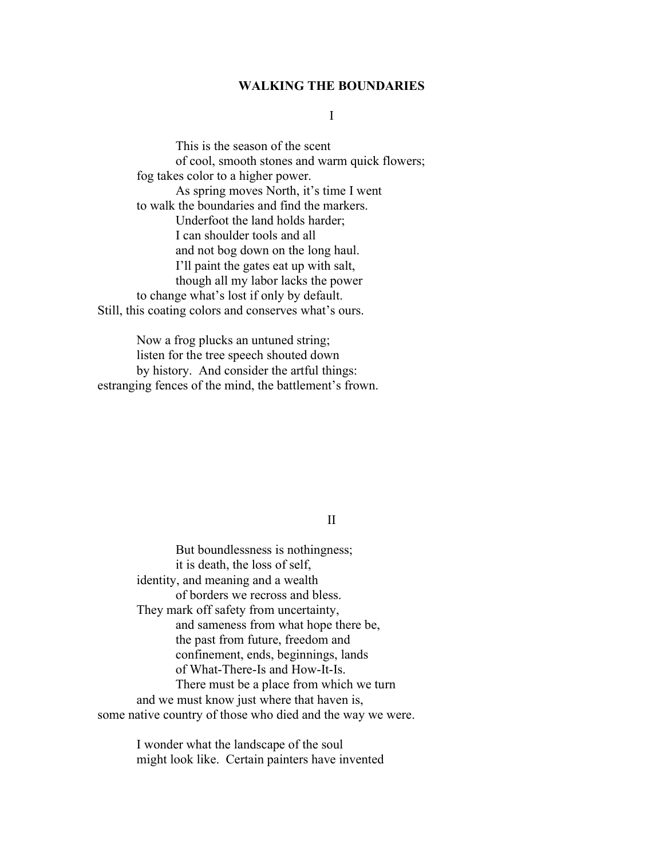### WALKING THE BOUNDARIES

## I

 This is the season of the scent of cool, smooth stones and warm quick flowers; fog takes color to a higher power. As spring moves North, it's time I went to walk the boundaries and find the markers. Underfoot the land holds harder; I can shoulder tools and all and not bog down on the long haul. I'll paint the gates eat up with salt, though all my labor lacks the power to change what's lost if only by default. Still, this coating colors and conserves what's ours.

 Now a frog plucks an untuned string; listen for the tree speech shouted down by history. And consider the artful things: estranging fences of the mind, the battlement's frown.

# II

 But boundlessness is nothingness; it is death, the loss of self, identity, and meaning and a wealth of borders we recross and bless. They mark off safety from uncertainty, and sameness from what hope there be, the past from future, freedom and confinement, ends, beginnings, lands of What-There-Is and How-It-Is. There must be a place from which we turn and we must know just where that haven is, some native country of those who died and the way we were.

> I wonder what the landscape of the soul might look like. Certain painters have invented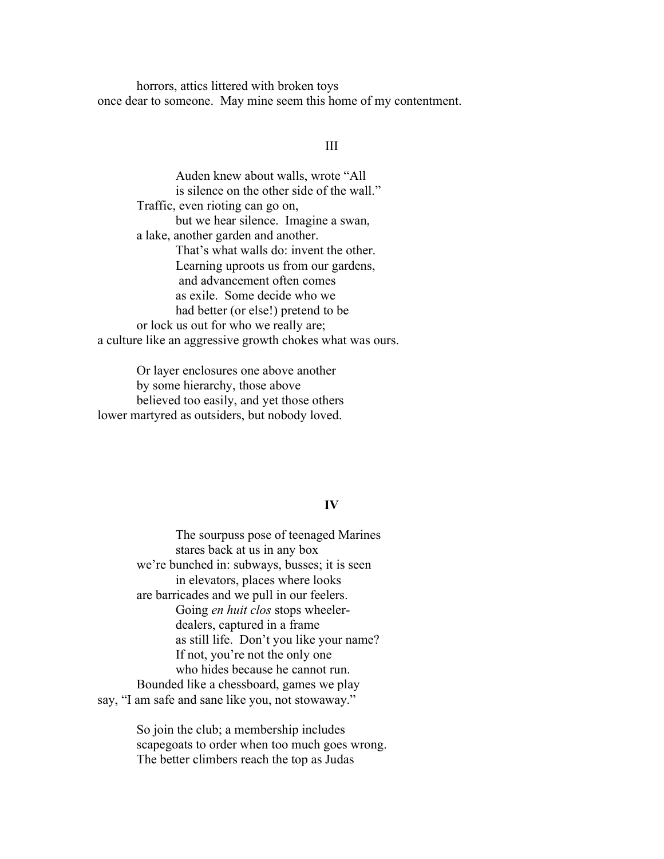horrors, attics littered with broken toys once dear to someone. May mine seem this home of my contentment.

## III

 Auden knew about walls, wrote "All is silence on the other side of the wall." Traffic, even rioting can go on, but we hear silence. Imagine a swan, a lake, another garden and another. That's what walls do: invent the other. Learning uproots us from our gardens, and advancement often comes as exile. Some decide who we had better (or else!) pretend to be or lock us out for who we really are; a culture like an aggressive growth chokes what was ours.

Or layer enclosures one above another by some hierarchy, those above believed too easily, and yet those others lower martyred as outsiders, but nobody loved.

## IV

 The sourpuss pose of teenaged Marines stares back at us in any box we're bunched in: subways, busses; it is seen in elevators, places where looks are barricades and we pull in our feelers. Going en huit clos stops wheeler dealers, captured in a frame as still life. Don't you like your name? If not, you're not the only one who hides because he cannot run. Bounded like a chessboard, games we play say, "I am safe and sane like you, not stowaway."

> So join the club; a membership includes scapegoats to order when too much goes wrong. The better climbers reach the top as Judas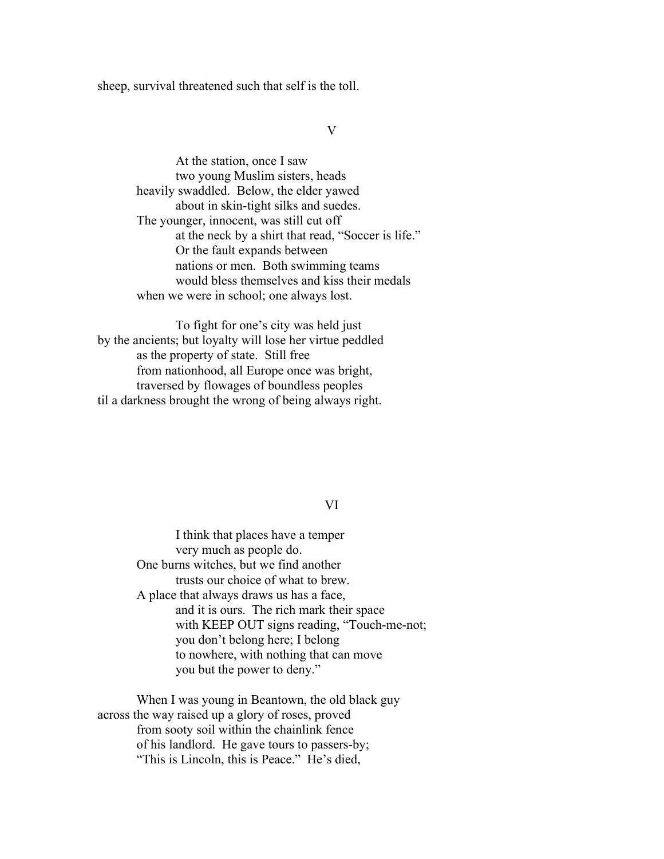sheep, survival threatened such that self is the toll.

#### V

 At the station, once I saw two young Muslim sisters, heads heavily swaddled. Below, the elder yawed about in skin-tight silks and suedes. The younger, innocent, was still cut off at the neck by a shirt that read, "Soccer is life." Or the fault expands between nations or men. Both swimming teams would bless themselves and kiss their medals when we were in school; one always lost.

 To fight for one's city was held just by the ancients; but loyalty will lose her virtue peddled as the property of state. Still free from nationhood, all Europe once was bright, traversed by flowages of boundless peoples til a darkness brought the wrong of being always right.

## VI

 I think that places have a temper very much as people do. One burns witches, but we find another trusts our choice of what to brew. A place that always draws us has a face, and it is ours. The rich mark their space with KEEP OUT signs reading, "Touch-me-not; you don't belong here; I belong to nowhere, with nothing that can move you but the power to deny."

 When I was young in Beantown, the old black guy across the way raised up a glory of roses, proved from sooty soil within the chainlink fence of his landlord. He gave tours to passers-by; "This is Lincoln, this is Peace." He's died,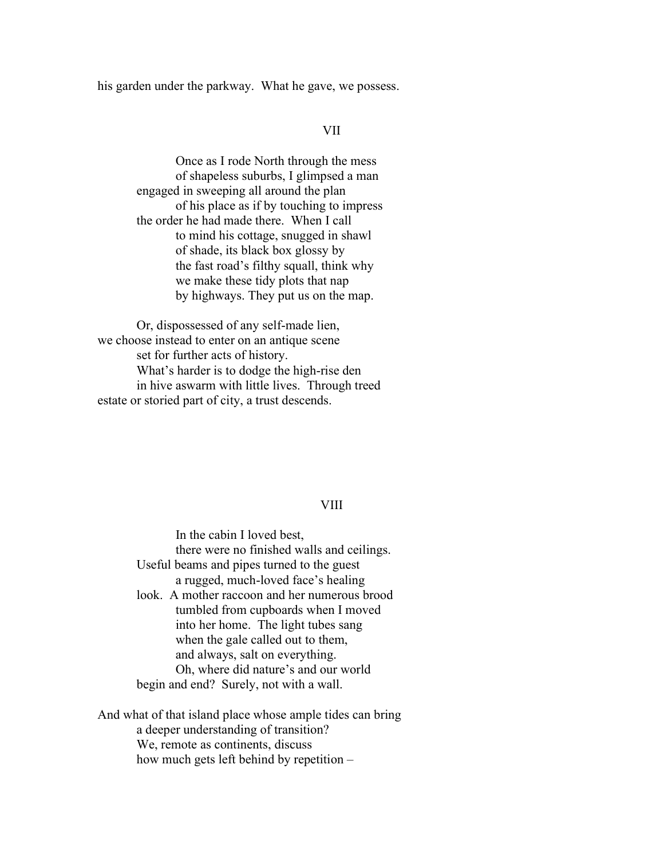his garden under the parkway. What he gave, we possess.

## VII

 Once as I rode North through the mess of shapeless suburbs, I glimpsed a man engaged in sweeping all around the plan of his place as if by touching to impress the order he had made there. When I call to mind his cottage, snugged in shawl of shade, its black box glossy by the fast road's filthy squall, think why we make these tidy plots that nap by highways. They put us on the map.

 Or, dispossessed of any self-made lien, we choose instead to enter on an antique scene set for further acts of history. What's harder is to dodge the high-rise den in hive aswarm with little lives. Through treed estate or storied part of city, a trust descends.

#### VIII

 In the cabin I loved best, there were no finished walls and ceilings. Useful beams and pipes turned to the guest a rugged, much-loved face's healing look. A mother raccoon and her numerous brood tumbled from cupboards when I moved into her home. The light tubes sang when the gale called out to them, and always, salt on everything. Oh, where did nature's and our world begin and end? Surely, not with a wall.

And what of that island place whose ample tides can bring a deeper understanding of transition? We, remote as continents, discuss how much gets left behind by repetition –